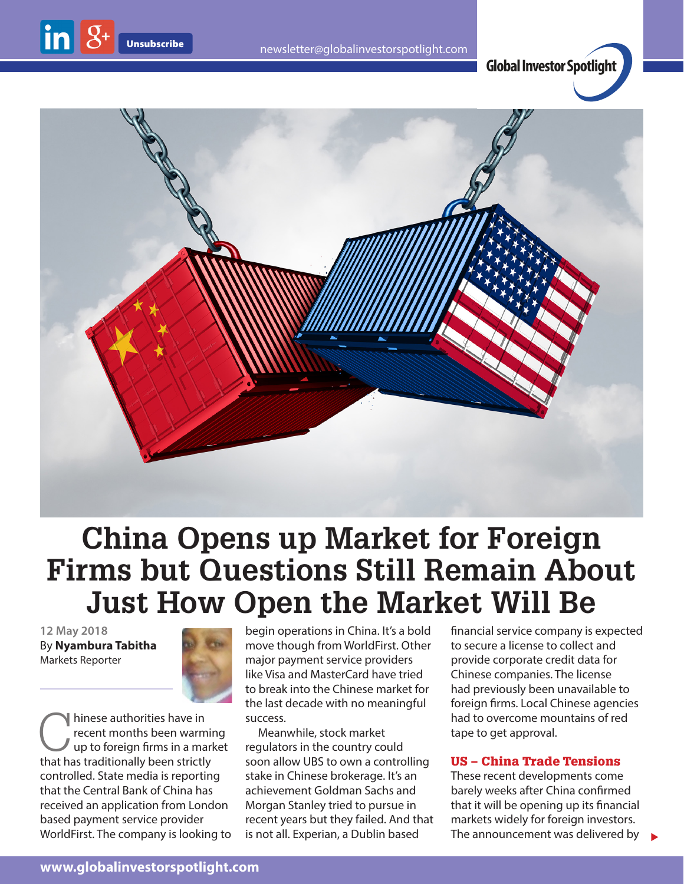

# **China Opens up Market for Foreign Firms but Questions Still Remain About Just How Open the Market Will Be**

**12 May 2018** By **Nyambura Tabitha** Markets Reporter



Thinese authorities have in<br>recent months been warm<br>up to foreign firms in a ma<br>that has traditionally been strictly recent months been warming up to foreign firms in a market that has traditionally been strictly controlled. State media is reporting that the Central Bank of China has received an application from London based payment service provider WorldFirst. The company is looking to begin operations in China. It's a bold move though from WorldFirst. Other major payment service providers like Visa and MasterCard have tried to break into the Chinese market for the last decade with no meaningful success.

Meanwhile, stock market regulators in the country could soon allow UBS to own a controlling stake in Chinese brokerage. It's an achievement Goldman Sachs and Morgan Stanley tried to pursue in recent years but they failed. And that is not all. Experian, a Dublin based

financial service company is expected to secure a license to collect and provide corporate credit data for Chinese companies. The license had previously been unavailable to foreign firms. Local Chinese agencies had to overcome mountains of red tape to get approval.

#### US – China Trade Tensions

These recent developments come barely weeks after China confirmed that it will be opening up its financial markets widely for foreign investors. The announcement was delivered by

 $\blacktriangleright$